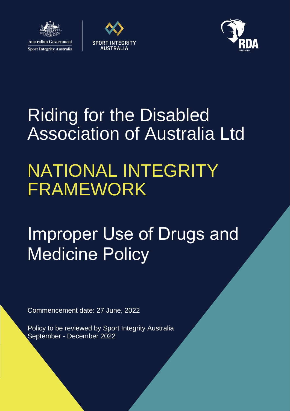





# Riding for the Disabled Association of Australia Ltd

# NATIONAL INTEGRITY FRAMEWORK

# Improper Use of Drugs and Medicine Policy

Commencement date: 27 June, 2022

Policy to be reviewed by Sport Integrity Australia September - December 2022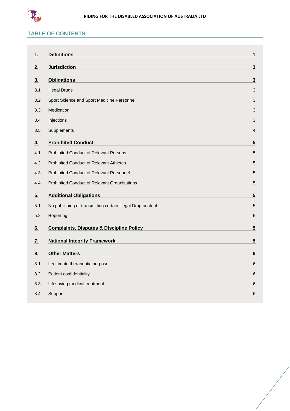

# **TABLE OF CONTENTS**

| <u>1.</u>      | <b>Definitions</b>                                         | $\mathbf{1}$            |
|----------------|------------------------------------------------------------|-------------------------|
| 2.             | <b>Jurisdiction</b>                                        | $\mathbf{3}$            |
| 3 <sub>1</sub> | <b>Obligations</b>                                         | $\overline{\mathbf{3}}$ |
| 3.1            | <b>Illegal Drugs</b>                                       | 3                       |
| 3.2            | Sport Science and Sport Medicine Personnel                 | 3                       |
| 3.3            | Medication                                                 | 3                       |
| 3.4            | Injections                                                 | 3                       |
| 3.5            | Supplements                                                | 4                       |
| 4.             | <b>Prohibited Conduct</b>                                  | 5                       |
| 4.1            | <b>Prohibited Conduct of Relevant Persons</b>              | 5                       |
| 4.2            | <b>Prohibited Conduct of Relevant Athletes</b>             | 5                       |
| 4.3            | Prohibited Conduct of Relevant Personnel                   | 5                       |
| 4.4            | Prohibited Conduct of Relevant Organisations               | $\mathbf 5$             |
| 5 <sub>1</sub> | <b>Additional Obligations</b>                              | $\sqrt{5}$              |
| 5.1            | No publishing or transmitting certain Illegal Drug content | 5                       |
| 5.2            | Reporting                                                  | $\sqrt{5}$              |
| 6.             | <b>Complaints, Disputes &amp; Discipline Policy</b>        | $\overline{\mathbf{5}}$ |
| <u>7.</u>      | <b>National Integrity Framework</b>                        | $\overline{\mathbf{5}}$ |
| 8.             | <b>Other Matters</b>                                       | $6\phantom{1}$          |
| 8.1            | Legitimate therapeutic purpose                             | 6                       |
| 8.2            | Patient confidentiality                                    | 6                       |
| 8.3            | Lifesaving medical treatment                               | 6                       |
| 8.4            | Support                                                    | 6                       |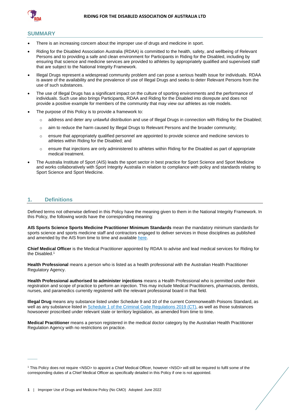

#### **SUMMARY**

- There is an increasing concern about the improper use of drugs and medicine in sport.
- Riding for the Disabled Association Australia (RDAA) is committed to the health, safety, and wellbeing of Relevant Persons and to providing a safe and clean environment for Participants in Riding for the Disabled, including by ensuring that science and medicine services are provided to athletes by appropriately qualified and supervised staff that are subject to the National Integrity Framework.
- Illegal Drugs represent a widespread community problem and can pose a serious health issue for individuals. RDAA is aware of the availability and the prevalence of use of Illegal Drugs and seeks to deter Relevant Persons from the use of such substances.
- The use of Illegal Drugs has a significant impact on the culture of sporting environments and the performance of individuals. Such use also brings Participants, RDAA and Riding for the Disabled into disrepute and does not provide a positive example for members of the community that may view our athletes as role models.
- The purpose of this Policy is to provide a framework to:
	- o address and deter any unlawful distribution and use of Illegal Drugs in connection with Riding for the Disabled;
	- $\circ$  aim to reduce the harm caused by Illegal Drugs to Relevant Persons and the broader community;
	- o ensure that appropriately qualified personnel are appointed to provide science and medicine services to athletes within Riding for the Disabled; and
	- $\circ$  ensure that injections are only administered to athletes within Riding for the Disabled as part of appropriate medical treatment.
- The Australia Institute of Sport (AIS) leads the sport sector in best practice for Sport Science and Sport Medicine and works collaboratively with Sport Integrity Australia in relation to compliance with policy and standards relating to Sport Science and Sport Medicine.

#### <span id="page-2-0"></span>**1. Definitions**

 $\overline{\phantom{a}}$ 

Defined terms not otherwise defined in this Policy have the meaning given to them in the National Integrity Framework. In this Policy, the following words have the corresponding meaning:

**AIS Sports Science Sports Medicine Practitioner Minimum Standards** mean the mandatory minimum standards for sports science and sports medicine staff and contractors engaged to deliver services in those disciplines as published and amended by the AIS from time to time and available [here.](https://www.ais.gov.au/position_statements#ais_sports_science_sports_medicine_practitioner_minimum_standards)

**Chief Medical Officer** is the Medical Practitioner appointed by RDAA to advise and lead medical services for Riding for the Disabled. 1

**Health Professional** means a person who is listed as a health professional with the Australian Health Practitioner Regulatory Agency.

**Health Professional authorised to administer injections** means a Health Professional who is permitted under their registration and scope of practice to perform an injection. This may include Medical Practitioners, pharmacists, dentists, nurses, and paramedics currently registered with the relevant professional board in that field.

**Illegal Drug** means any substance listed under Schedule 9 and 10 of the current Commonwealth Poisons Standard, as well as any substance listed in [Schedule 1 of the Criminal Code Regulations 2019 \(CT\),](https://www.legislation.gov.au/Details/F2020C00785) as well as those substances howsoever proscribed under relevant state or territory legislation, as amended from time to time.

**Medical Practitioner** means a person registered in the medical doctor category by the Australian Health Practitioner Regulation Agency with no restrictions on practice.

<sup>1</sup> This Policy does not require <NSO> to appoint a Chief Medical Officer, however <NSO> will still be required to fulfil some of the corresponding duties of a Chief Medical Officer as specifically detailed in this Policy if one is not appointed.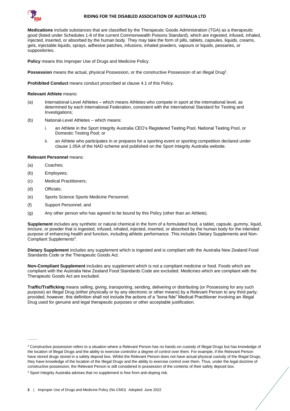

#### **RIDING FOR THE DISABLED ASSOCIATION OF AUSTRALIA LTD**

**Medications** include substances that are classified by the Therapeutic Goods Administration (TGA) as a therapeutic good (listed under Schedules 1-8 of the current Commonwealth Poisons Standard), which are ingested, infused, inhaled, injected, inserted, or absorbed by the human body. They may take the form of pills, tablets, capsules, liquids, creams, gels, injectable liquids, sprays, adhesive patches, infusions, inhaled powders, vapours or liquids, pessaries, or suppositories.

**Policy** means this Improper Use of Drugs and Medicine Policy.

Possession means the actual, physical Possession, or the constructive Possession of an Illegal Drug<sup>2</sup>.

**Prohibited Conduct** means conduct proscribed at clause [4.1](#page-6-1) of this Policy.

**Relevant Athlete** means:

- (a) International-Level Athletes which means Athletes who compete in sport at the international level, as determined by each International Federation, consistent with the International Standard for Testing and Investigations;
- (b) National-Level Athletes which means:
	- i. an Athlete in the Sport Integrity Australia CEO's Registered Testing Pool, National Testing Pool, or Domestic Testing Pool; or
	- ii. an Athlete who participates in or prepares for a sporting event or sporting competition declared under clause 1.05A of the NAD scheme and published on the Sport Integrity Australia website.

#### **Relevant Personnel** means:

- (a) Coaches;
- (b) Employees;
- (c) Medical Practitioners;
- (d) Officials;

 $\overline{\phantom{a}}$ 

- (e) Sports Science Sports Medicine Personnel;
- (f) Support Personnel; and
- (g) Any other person who has agreed to be bound by this Policy (other than an Athlete).

**Supplement** includes any synthetic or natural chemical in the form of a formulated food, a tablet, capsule, gummy, liquid, tincture, or powder that is ingested, infused, inhaled, injected, inserted, or absorbed by the human body for the intended purpose of enhancing health and function, including athletic performance. This includes Dietary Supplements and Non-Compliant Supplements 3 .

**Dietary Supplement** includes any supplement which is ingested and is compliant with the Australia New Zealand Food Standards Code or the Therapeutic Goods Act.

**Non-Compliant Supplement** includes any supplement which is not a compliant medicine or food. Foods which are compliant with the Australia New Zealand Food Standards Code are excluded. Medicines which are compliant with the Therapeutic Goods Act are excluded.

**Traffic/Trafficking** means selling, giving, transporting, sending, delivering or distributing (or Possessing for any such purpose) an Illegal Drug (either physically or by any electronic or other means) by a Relevant Person to any third party; provided, however, this definition shall not include the actions of a "bona fide" Medical Practitioner involving an Illegal Drug used for genuine and legal therapeutic purposes or other acceptable justification.

<sup>&</sup>lt;sup>2</sup> Constructive possession refers to a situation where a Relevant Person has no hands-on custody of Illegal Drugs but has knowledge of the location of Illegal Drugs and the ability to exercise control/or a degree of control over them. For example, if the Relevant Person have stored drugs stored in a safety deposit box. Whilst the Relevant Person does not have actual physical custody of the Illegal Drugs, they have knowledge of the location of the Illegal Drugs and the ability to exercise control over them. Thus, under the legal doctrine of constructive possession, the Relevant Person is still considered in possession of the contents of their safety deposit box.

<sup>&</sup>lt;sup>3</sup> Sport Integrity Australia advises that no supplement is free from anti-doping risk.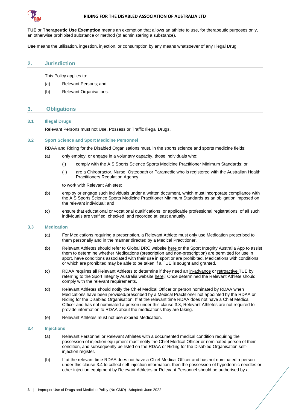

#### **RIDING FOR THE DISABLED ASSOCIATION OF AUSTRALIA LTD**

**TUE** or **Therapeutic Use Exemption** means an exemption that allows an athlete to use, for therapeutic purposes only, an otherwise prohibited substance or method (of administering a substance).

**Use** means the utilisation, ingestion, injection, or consumption by any means whatsoever of any Illegal Drug.

#### <span id="page-4-0"></span>**2. Jurisdiction**

This Policy applies to:

- (a) Relevant Persons; and
- <span id="page-4-1"></span>(b) Relevant Organisations.

### **3. Obligations**

#### <span id="page-4-2"></span>**3.1 Illegal Drugs**

Relevant Persons must not Use, Possess or Traffic Illegal Drugs.

#### <span id="page-4-3"></span>**3.2 Sport Science and Sport Medicine Personnel**

RDAA and Riding for the Disabled Organisations must, in the sports science and sports medicine fields:

- (a) only employ, or engage in a voluntary capacity, those individuals who:
	- (i) comply with the AIS Sports Science Sports Medicine Practitioner Minimum Standards; or
	- (ii) are a Chiropractor, Nurse, Osteopath or Paramedic who is registered with the Australian Health Practitioners Regulation Agency,

to work with Relevant Athletes;

- (b) employ or engage such individuals under a written document, which must incorporate compliance with the AIS Sports Science Sports Medicine Practitioner Minimum Standards as an obligation imposed on the relevant individual; and
- (c) ensure that educational or vocational qualifications, or applicable professional registrations, of all such individuals are verified, checked, and recorded at least annually.

#### <span id="page-4-4"></span>**3.3 Medication**

- (a) For Medications requiring a prescription, a Relevant Athlete must only use Medication prescribed to them personally and in the manner directed by a Medical Practitioner.
- (b) Relevant Athletes should refer to Global DRO websit[e here](https://globaldro.com/AU/search) or the Sport Integrity Australia App to assist them to determine whether Medications (prescription and non-prescription) are permitted for use in sport, have conditions associated with their use in sport or are prohibited. Medications with conditions or which are prohibited may be able to be taken if a TUE is sought and granted.
- (c) RDAA requires all Relevant Athletes to determine if they need an [in-advance](https://www.sportintegrity.gov.au/resources/therapeutic-use-exemption/advance-therapeutic-use-exemption) or [retroactive](https://www.sportintegrity.gov.au/resources/therapeutic-use-exemption/retroactive-therapeutic-use-exemption) TUE by referring to the Sport Integrity Australia websit[e here.](https://www.sportintegrity.gov.au/resources/therapeutic-use-exemption) Once determined the Relevant Athlete should comply with the relevant requirements.
- (d) Relevant Athletes should notify the Chief Medical Officer or person nominated by RDAA when Medications have been provided/prescribed by a Medical Practitioner not appointed by the RDAA or Riding for the Disabled Organisation. If at the relevant time RDAA does not have a Chief Medical Officer and has not nominated a person under this claus[e 3.3,](#page-4-4) Relevant Athletes are not required to provide information to RDAA about the medications they are taking.
- (e) Relevant Athletes must not use expired Medication.

#### <span id="page-4-5"></span>**3.4 Injections**

- (a) Relevant Personnel or Relevant Athletes with a documented medical condition requiring the possession of injection equipment must notify the Chief Medical Officer or nominated person of their condition, and subsequently be listed on the RDAA or Riding for the Disabled Organisation selfinjection register.
- <span id="page-4-6"></span>(b) If at the relevant time RDAA does not have a Chief Medical Officer and has not nominated a person under this clause [3.4](#page-4-5) to collect self-injection information, then the possession of hypodermic needles or other injection equipment by Relevant Athletes or Relevant Personnel should be authorised by a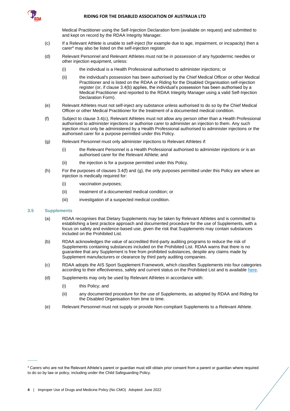

Medical Practitioner using the Self-Injection Declaration form (available on request) and submitted to and kept on record by the RDAA Integrity Manager.

- <span id="page-5-1"></span>(c) If a Relevant Athlete is unable to self-inject (for example due to age, impairment, or incapacity) then a carer<sup>4</sup> may also be listed on the self-injection register.
- <span id="page-5-4"></span>(d) Relevant Personnel and Relevant Athletes must not be in possession of any hypodermic needles or other injection equipment, unless:
	- (i) the individual is a Health Professional authorised to administer injections; or
	- (ii) the individual's possession has been authorised by the Chief Medical Officer or other Medical Practitioner and is listed on the RDAA or Riding for the Disabled Organisation self-injection register (or, if clause 3.[4\(b\)](#page-4-6) applies, the individual's possession has been authorised by a Medical Practitioner and reported to the RDAA Integrity Manager using a valid Self-Injection Declaration Form).
- <span id="page-5-5"></span>(e) Relevant Athletes must not self-inject any substance unless authorised to do so by the Chief Medical Officer or other Medical Practitioner for the treatment of a documented medical condition.
- <span id="page-5-2"></span>(f) Subject to clause 3.[4\(c\),](#page-5-1) Relevant Athletes must not allow any person other than a Health Professional authorised to administer injections or authorise carer to administer an injection to them. Any such injection must only be administered by a Health Professional authorised to administer injections or the authorised carer for a purpose permitted under this Policy.
- <span id="page-5-3"></span>(g) Relevant Personnel must only administer injections to Relevant Athletes if:
	- (i) the Relevant Personnel is a Health Professional authorised to administer injections or is an authorised carer for the Relevant Athlete; and
	- (ii) the injection is for a purpose permitted under this Policy.
- (h) For the purposes of clauses [3.4](#page-4-5)[\(f\)](#page-5-2) and [\(g\),](#page-5-3) the only purposes permitted under this Policy are where an injection is medically required for:
	- (i) vaccination purposes;
	- (ii) treatment of a documented medical condition; or
	- (iii) investigation of a suspected medical condition.

#### <span id="page-5-0"></span>**3.5 Supplements**

 $\overline{\phantom{a}}$ 

- (a) RDAA recognises that Dietary Supplements may be taken by Relevant Athletes and is committed to establishing a best practice approach and documented procedure for the use of Supplements, with a focus on safety and evidence-based use, given the risk that Supplements may contain substances included on the Prohibited List.
- (b) RDAA acknowledges the value of accredited third-party auditing programs to reduce the risk of Supplements containing substances included on the Prohibited List. RDAA warns that there is no guarantee that any Supplement is free from prohibited substances, despite any claims made by Supplement manufacturers or clearance by third party auditing companies.
- (c) RDAA adopts the AIS Sport Supplement Framework, which classifies Supplements into four categories according to their effectiveness, safety and current status on the Prohibited List and is available [here.](https://www.ais.gov.au/nutrition/supplements)
- (d) Supplements may only be used by Relevant Athletes in accordance with:
	- (i) this Policy; and
	- (ii) any documented procedure for the use of Supplements, as adopted by RDAA and Riding for the Disabled Organisation from time to time.
- <span id="page-5-6"></span>(e) Relevant Personnel must not supply or provide Non-compliant Supplements to a Relevant Athlete.

<sup>4</sup> Carers who are not the Relevant Athlete's parent or guardian must still obtain prior consent from a parent or guardian where required to do so by law or policy, including under the Child Safeguarding Policy.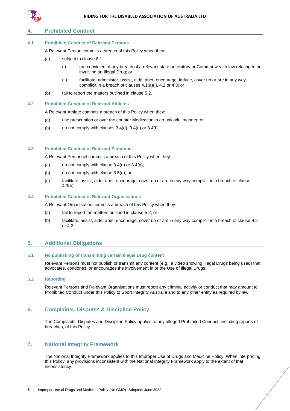

# <span id="page-6-0"></span>**4. Prohibited Conduct**

#### <span id="page-6-10"></span><span id="page-6-1"></span>**4.1 Prohibited Conduct of Relevant Persons**

A Relevant Person commits a breach of this Policy when they:

- (a) subject to clause [8.1:](#page-7-1)
	- (i) are convicted of any breach of a relevant state or territory or Commonwealth law relating to or involving an Illegal Drug; or
	- (ii) facilitate, administer, assist, aide, abet, encourage, induce, cover up or are in any way complicit in a breach of clauses [4.1\(a\)\(](#page-6-10)i), [4.2](#page-6-2) o[r 4.3;](#page-6-3) or
- (b) fail to report the matters outlined in clause [5.2.](#page-6-7)

#### <span id="page-6-2"></span>**4.2 Prohibited Conduct of Relevant Athletes**

A Relevant Athlete commits a breach of this Policy when they:

- (a) use prescription or over the counter Medication in an unlawful manner; or
- (b) do not comply with clauses  $3.4$ (d),  $3.4$ (e) or  $3.4$ (f).

#### <span id="page-6-3"></span>**4.3 Prohibited Conduct of Relevant Personnel**

A Relevant Personnel commits a breach of this Policy when they:

- (a) do not comply with clause  $3.4$ (d) or  $3.4$ (g):
- <span id="page-6-11"></span>(b) do not comply with clause [3.5\(e\);](#page-5-6) or
- (c) facilitate, assist, aide, abet, encourage, cover up or are in any way complicit in a breach of clause [4.3\(b\).](#page-6-11)

# <span id="page-6-4"></span>**4.4 Prohibited Conduct of Relevant Organisations**

A Relevant Organisation commits a breach of this Policy when they:

- (a) fail to report the matters outlined in clause [5.2;](#page-6-7) or
- (b) facilitate, assist, aide, abet, encourage, cover up or are in any way complicit in a breach of clause [4.2](#page-6-2) or [4.3.](#page-6-3)

# <span id="page-6-5"></span>**5. Additional Obligations**

### <span id="page-6-6"></span>**5.1 No publishing or transmitting certain Illegal Drug content**

Relevant Persons must not publish or transmit any content (e.g., a video showing Illegal Drugs being used) that advocates, condones, or encourages the involvement in or the Use of Illegal Drugs.

#### <span id="page-6-7"></span>**5.2 Reporting**

Relevant Persons and Relevant Organisations must report any criminal activity or conduct that may amount to Prohibited Conduct under this Policy to Sport Integrity Australia and to any other entity as required by law.

### <span id="page-6-8"></span>**6. Complaints, Disputes & Discipline Policy**

The Complaints, Disputes and Discipline Policy applies to any alleged Prohibited Conduct, including reports of breaches, of this Policy.

# <span id="page-6-9"></span>**7. National Integrity Framework**

The National Integrity Framework applies to this Improper Use of Drugs and Medicine Policy. When interpreting this Policy, any provisions inconsistent with the National Integrity Framework apply to the extent of that inconsistency.